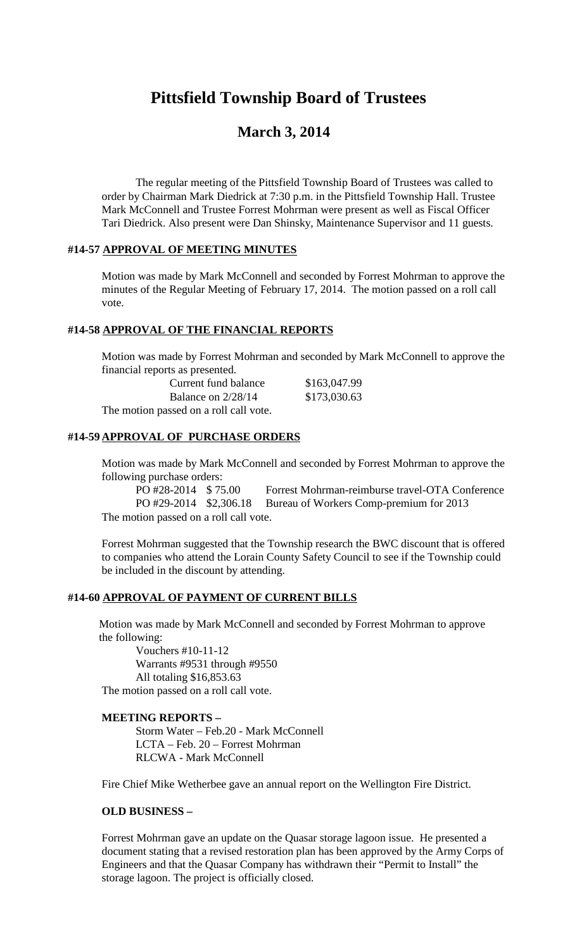# **Pittsfield Township Board of Trustees**

# **March 3, 2014**

The regular meeting of the Pittsfield Township Board of Trustees was called to order by Chairman Mark Diedrick at 7:30 p.m. in the Pittsfield Township Hall. Trustee Mark McConnell and Trustee Forrest Mohrman were present as well as Fiscal Officer Tari Diedrick. Also present were Dan Shinsky, Maintenance Supervisor and 11 guests.

#### **#14-57 APPROVAL OF MEETING MINUTES**

Motion was made by Mark McConnell and seconded by Forrest Mohrman to approve the minutes of the Regular Meeting of February 17, 2014. The motion passed on a roll call vote.

#### **#14-58 APPROVAL OF THE FINANCIAL REPORTS**

Motion was made by Forrest Mohrman and seconded by Mark McConnell to approve the financial reports as presented.

| Current fund balance                   | \$163,047.99 |
|----------------------------------------|--------------|
| Balance on $2/28/14$                   | \$173,030.63 |
| The motion passed on a roll call vote. |              |

# **#14-59 APPROVAL OF PURCHASE ORDERS**

Motion was made by Mark McConnell and seconded by Forrest Mohrman to approve the following purchase orders:

PO #28-2014 \$ 75.00 Forrest Mohrman-reimburse travel-OTA Conference PO #29-2014 \$2,306.18 Bureau of Workers Comp-premium for 2013 The motion passed on a roll call vote.

Forrest Mohrman suggested that the Township research the BWC discount that is offered to companies who attend the Lorain County Safety Council to see if the Township could be included in the discount by attending.

#### **#14-60 APPROVAL OF PAYMENT OF CURRENT BILLS**

Motion was made by Mark McConnell and seconded by Forrest Mohrman to approve the following:

Vouchers #10-11-12 Warrants #9531 through #9550 All totaling \$16,853.63 The motion passed on a roll call vote.

#### **MEETING REPORTS –**

Storm Water – Feb.20 - Mark McConnell LCTA – Feb. 20 – Forrest Mohrman RLCWA - Mark McConnell

Fire Chief Mike Wetherbee gave an annual report on the Wellington Fire District.

#### **OLD BUSINESS –**

Forrest Mohrman gave an update on the Quasar storage lagoon issue. He presented a document stating that a revised restoration plan has been approved by the Army Corps of Engineers and that the Quasar Company has withdrawn their "Permit to Install" the storage lagoon. The project is officially closed.